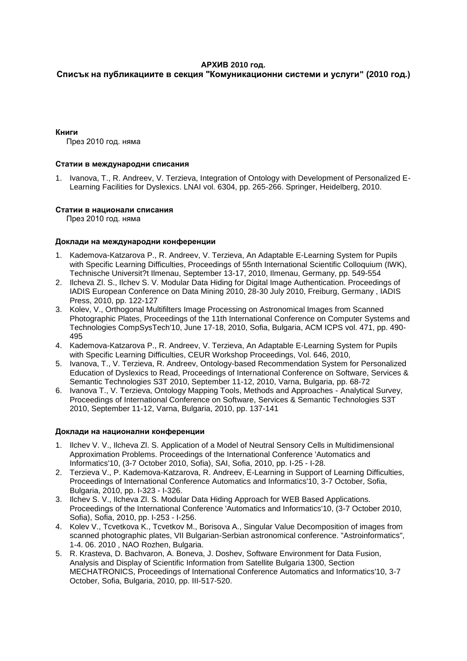# **АРХИВ 2010 год.**

# **Списък на публикациите в секция "Комуникационни системи и услуги" (2010 год.)**

#### **Книги**

През 2010 год. няма

#### **Статии в международни списания**

1. Ivanova, T., R. Andreev, V. Terzieva, Integration of Ontology with Development of Personalized E-Learning Facilities for Dyslexics. LNAI vol. 6304, pp. 265-266. Springer, Heidelberg, 2010.

#### **Статии в национали списания**

През 2010 год. няма

#### **Доклади на международни конференции**

- 1. Kademova-Katzarova P., R. Andreev, V. Terzieva, An Adaptable E-Learning System for Pupils with Specific Learning Difficulties, Proceedings of 55nth International Scientific Colloquium (IWK), Technische Universit?t Ilmenau, September 13-17, 2010, Ilmenau, Germany, pp. 549-554
- 2. Ilcheva Zl. S., Ilchev S. V. Modular Data Hiding for Digital Image Authentication. Proceedings of IADIS European Conference on Data Mining 2010, 28-30 July 2010, Freiburg, Germany , IADIS Press, 2010, pp. 122-127
- 3. Kolev, V., Orthogonal Multifilters Image Processing on Astronomical Images from Scanned Photographic Plates, Proceedings of the 11th International Conference on Computer Systems and Technologies CompSysTech'10, June 17-18, 2010, Sofia, Bulgaria, ACM ICPS vol. 471, pp. 490- 495
- 4. Kademova-Katzarova P., R. Andreev, V. Terzieva, An Adaptable E-Learning System for Pupils with Specific Learning Difficulties, CEUR Workshop Proceedings, Vol. 646, 2010,
- 5. Ivanova, T., V. Terzieva, R. Andreev, Ontology-based Recommendation System for Personalized Education of Dyslexics to Read, Proceedings of International Conference on Software, Services & Semantic Technologies S3T 2010, September 11-12, 2010, Varna, Bulgaria, pp. 68-72
- 6. Ivanova T., V. Terzieva, Ontology Mapping Tools, Methods and Approaches Analytical Survey, Proceedings of International Conference on Software, Services & Semantic Technologies S3T 2010, September 11-12, Varna, Bulgaria, 2010, pp. 137-141

# **Доклади на национални конференции**

- 1. Ilchev V. V., Ilcheva Zl. S. Application of a Model of Neutral Sensory Cells in Multidimensional Approximation Problems. Proceedings of the International Conference 'Automatics and Informatics'10, (3-7 October 2010, Sofia), SAI, Sofia, 2010, pp. I-25 - I-28.
- 2. Terzieva V., P. Kademova-Katzarova, R. Andreev, E-Learning in Support of Learning Difficulties, Proceedings of International Conference Automatics and Informatics'10, 3-7 October, Sofia, Bulgaria, 2010, pp. I-323 - I-326.
- 3. Ilchev S. V., Ilcheva Zl. S. Modular Data Hiding Approach for WEB Based Applications. Proceedings of the International Conference 'Automatics and Informatics'10, (3-7 October 2010, Sofia), Sofia, 2010, pp. I-253 - I-256.
- 4. Kolev V., Tcvetkova K., Tcvetkov M., Borisova A., Singular Value Decomposition of images from scanned photographic plates, VII Bulgarian-Serbian astronomical conference. "Astroinformatics", 1-4. 06. 2010 , NAO Rozhen, Bulgaria.
- 5. R. Krasteva, D. Bachvaron, A. Boneva, J. Doshev, Software Environment for Data Fusion, Analysis and Display of Scientific Information from Satellite Bulgaria 1300, Section MECHATRONICS, Proceedings of International Conference Automatics and Informatics'10, 3-7 October, Sofia, Bulgaria, 2010, pp. III-517-520.